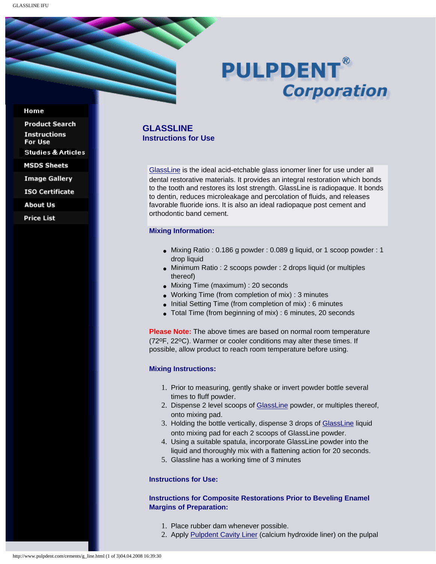# **PULPDENT® Corporation**

#### Home

**Product Search Instructions** For Use **Studies & Articles MSDS Sheets** 

**Image Gallery** 

**ISO Certificate** 

**About Us** 

**Price List** 

# **GLASSLINE Instructions for Use**

[GlassLine](http://www.pulpdent.com/cements/glass_cements.html#line) is the ideal acid-etchable glass ionomer liner for use under all dental restorative materials. It provides an integral restoration which bonds to the tooth and restores its lost strength. GlassLine is radiopaque. It bonds to dentin, reduces microleakage and percolation of fluids, and releases favorable fluoride ions. It is also an ideal radiopaque post cement and orthodontic band cement.

## **Mixing Information:**

- Mixing Ratio : 0.186 g powder : 0.089 g liquid, or 1 scoop powder : 1 drop liquid
- Minimum Ratio : 2 scoops powder : 2 drops liquid (or multiples thereof)
- Mixing Time (maximum) : 20 seconds
- Working Time (from completion of mix) : 3 minutes
- Initial Setting Time (from completion of mix) : 6 minutes
- Total Time (from beginning of mix) : 6 minutes, 20 seconds

**Please Note:** The above times are based on normal room temperature (72oF, 22oC). Warmer or cooler conditions may alter these times. If possible, allow product to reach room temperature before using.

#### **Mixing Instructions:**

- 1. Prior to measuring, gently shake or invert powder bottle several times to fluff powder.
- 2. Dispense 2 level scoops of [GlassLine](http://www.pulpdent.com/cements/glass_cements.html#line) powder, or multiples thereof, onto mixing pad.
- 3. Holding the bottle vertically, dispense 3 drops of [GlassLine](http://www.pulpdent.com/cements/glass_cements.html#line) liquid onto mixing pad for each 2 scoops of GlassLine powder.
- 4. Using a suitable spatula, incorporate GlassLine powder into the liquid and thoroughly mix with a flattening action for 20 seconds.
- 5. Glassline has a working time of 3 minutes

### **Instructions for Use:**

## **Instructions for Composite Restorations Prior to Beveling Enamel Margins of Preparation:**

- 1. Place rubber dam whenever possible.
- 2. Apply [Pulpdent Cavity Liner](http://www.pulpdent.com/c_hydro/liner.html) (calcium hydroxide liner) on the pulpal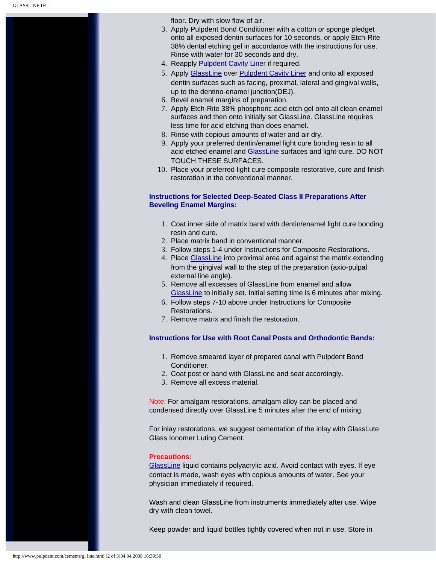floor. Dry with slow flow of air.

- 3. Apply Pulpdent Bond Conditioner with a cotton or sponge pledget onto all exposed dentin surfaces for 10 seconds, or apply Etch-Rite 38% dental etching gel in accordance with the instructions for use. Rinse with water for 30 seconds and dry.
- 4. Reapply [Pulpdent Cavity Liner](http://www.pulpdent.com/c_hydro/liner.html) if required.
- 5. Apply [GlassLine](http://www.pulpdent.com/cements/glass_cements.html#line) over [Pulpdent Cavity Liner](http://www.pulpdent.com/c_hydro/liner.html) and onto all exposed dentin surfaces such as facing, proximal, lateral and gingival walls, up to the dentino-enamel junction(DEJ).
- 6. Bevel enamel margins of preparation.
- 7. Apply Etch-Rite 38% phosphoric acid etch gel onto all clean enamel surfaces and then onto initially set GlassLine. GlassLine requires less time for acid etching than does enamel.
- 8. Rinse with copious amounts of water and air dry.
- 9. Apply your preferred dentin/enamel light cure bonding resin to all acid etched enamel and [GlassLine](http://www.pulpdent.com/cements/glass_cements.html#line) surfaces and light-cure. DO NOT TOUCH THESE SURFACES.
- 10. Place your preferred light cure composite restorative, cure and finish restoration in the conventional manner.

## **Instructions for Selected Deep-Seated Class II Preparations After Beveling Enamel Margins:**

- 1. Coat inner side of matrix band with dentin/enamel light cure bonding resin and cure.
- 2. Place matrix band in conventional manner.
- 3. Follow steps 1-4 under Instructions for Composite Restorations.
- 4. Place [GlassLine](http://www.pulpdent.com/cements/glass_cements.html#line) into proximal area and against the matrix extending from the gingival wall to the step of the preparation (axio-pulpal external line angle).
- 5. Remove all excesses of GlassLine from enamel and allow [GlassLine](http://www.pulpdent.com/cements/glass_cements.html#line) to initially set. Initial setting time is 6 minutes after mixing.
- 6. Follow steps 7-10 above under Instructions for Composite Restorations.
- 7. Remove matrix and finish the restoration.

## **Instructions for Use with Root Canal Posts and Orthodontic Bands:**

- 1. Remove smeared layer of prepared canal with Pulpdent Bond Conditioner.
- 2. Coat post or band with GlassLine and seat accordingly.
- 3. Remove all excess material.

Note: For amalgam restorations, amalgam alloy can be placed and condensed directly over GlassLine 5 minutes after the end of mixing.

For inlay restorations, we suggest cementation of the inlay with GlassLute Glass Ionomer Luting Cement.

#### **Precautions:**

[GlassLine](http://www.pulpdent.com/cements/glass_cements.html#line) liquid contains polyacrylic acid. Avoid contact with eyes. If eye contact is made, wash eyes with copious amounts of water. See your physician immediately if required.

Wash and clean GlassLine from instruments immediately after use. Wipe dry with clean towel.

Keep powder and liquid bottles tightly covered when not in use. Store in